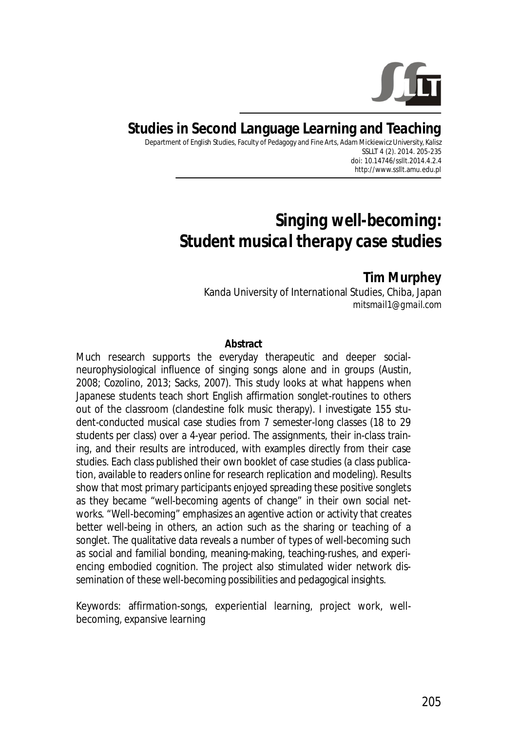

# **Studies in Second Language Learning and Teaching**

Department of English Studies, Faculty of Pedagogy and Fine Arts, Adam Mickiewicz University, Kalisz SSLLT 4 (2). 2014. 205-235 *doi: 10.14746/ssllt.2014.4.2.4* http://www.ssllt.amu.edu.pl

# *Singing well-becoming: Student musical therapy case studies*

**Tim Murphey**  Kanda University of International Studies, Chiba, Japan *mitsmail1@gmail.com*

#### **Abstract**

Much research supports the everyday therapeutic and deeper socialneurophysiological influence of singing songs alone and in groups (Austin, 2008; Cozolino, 2013; Sacks, 2007). This study looks at what happens when Japanese students teach short English affirmation songlet-routines to others out of the classroom (clandestine folk music therapy). I investigate 155 student-conducted musical case studies from 7 semester-long classes (18 to 29 students per class) over a 4-year period. The assignments, their in-class training, and their results are introduced, with examples directly from their case studies. Each class published their own booklet of case studies (a class publication, available to readers online for research replication and modeling). Results show that most primary participants enjoyed spreading these positive songlets as they became "well-becoming agents of change" in their own social networks. "Well-becoming" emphasizes an agentive action or activity that creates better well-being in others, an action such as the sharing or teaching of a songlet. The qualitative data reveals a number of types of well-becoming such as social and familial bonding, meaning-making, teaching-rushes, and experiencing embodied cognition. The project also stimulated wider network dissemination of these well-becoming possibilities and pedagogical insights.

*Keywords*: affirmation-songs, experiential learning, project work, wellbecoming, expansive learning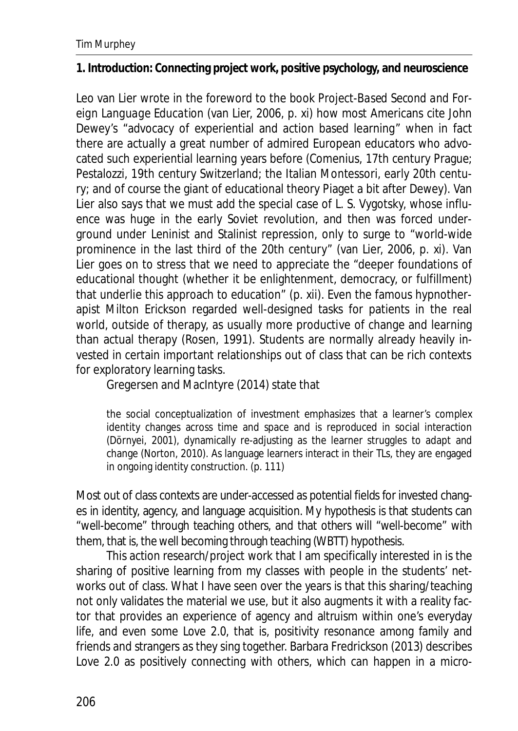**1. Introduction: Connecting project work, positive psychology, and neuroscience**

Leo van Lier wrote in the foreword to the book *Project-Based Second and Foreign Language Education* (van Lier, 2006, p. xi) how most Americans cite John Dewey's "advocacy of experiential and action based learning" when in fact there are actually a great number of admired European educators who advocated such experiential learning years before (Comenius, 17th century Prague; Pestalozzi, 19th century Switzerland; the Italian Montessori, early 20th century; and of course the giant of educational theory Piaget a bit after Dewey). Van Lier also says that we must add the special case of L. S. Vygotsky, whose influence was huge in the early Soviet revolution, and then was forced underground under Leninist and Stalinist repression, only to surge to "world-wide prominence in the last third of the 20th century" (van Lier, 2006, p. xi). Van Lier goes on to stress that we need to appreciate the "deeper foundations of educational thought (whether it be enlightenment, democracy, or fulfillment) that underlie this approach to education" (p. xii). Even the famous hypnotherapist Milton Erickson regarded well-designed tasks for patients in the real world, outside of therapy, as usually more productive of change and learning than actual therapy (Rosen, 1991). Students are normally already heavily invested in certain important relationships out of class that can be rich contexts for exploratory learning tasks.

Gregersen and MacIntyre (2014) state that

the social conceptualization of investment emphasizes that a learner's complex identity changes across time and space and is reproduced in social interaction (Dörnyei, 2001), dynamically re-adjusting as the learner struggles to adapt and change (Norton, 2010). As language learners interact in their TLs, they are engaged in ongoing identity construction. (p. 111)

Most out of class contexts are under-accessed as potential fields for invested changes in identity, agency, and language acquisition. My hypothesis is that students can "well-become" through teaching others, and that others will "well-become" with them, that is, the well becoming through teaching (WBTT) hypothesis.

This action research/project work that I am specifically interested in is the sharing of positive learning from my classes with people in the students' networks out of class. What I have seen over the years is that this sharing/teaching not only validates the material we use, but it also augments it with a reality factor that provides an experience of agency and altruism within one's everyday life, and even some Love 2.0, that is, positivity resonance among family and friends and strangers as they sing together. Barbara Fredrickson (2013) describes Love 2.0 as positively connecting with others, which can happen in a micro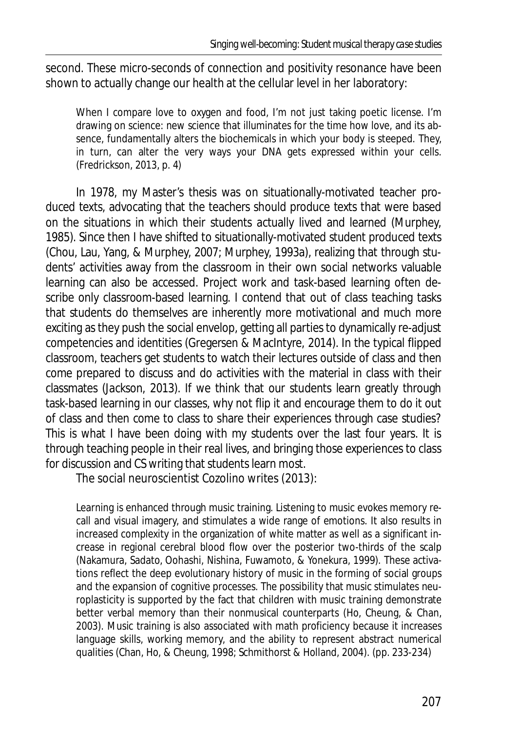second. These micro-seconds of connection and positivity resonance have been shown to actually change our health at the cellular level in her laboratory:

When I compare love to oxygen and food, I'm not just taking poetic license. I'm drawing on science: new science that illuminates for the time how love, and its absence, fundamentally alters the biochemicals in which your body is steeped. They, in turn, can alter the very ways your DNA gets expressed within your cells. (Fredrickson, 2013, p. 4)

In 1978, my Master's thesis was on situationally-motivated teacher produced texts, advocating that the teachers should produce texts that were based on the situations in which their students actually lived and learned (Murphey, 1985). Since then I have shifted to situationally-motivated *student* produced texts (Chou, Lau, Yang, & Murphey, 2007; Murphey, 1993a), realizing that through students' activities away from the classroom in their own social networks valuable learning can also be accessed. Project work and task-based learning often describe only classroom-based learning. I contend that out of class teaching tasks that students do themselves are inherently more motivational and much more exciting as they push the social envelop, getting all parties to dynamically re-adjust competencies and identities (Gregersen & MacIntyre, 2014). In the typical flipped classroom, teachers get students to watch their lectures outside of class and then come prepared to discuss and do activities with the material in class with their classmates (Jackson, 2013). If we think that our students learn greatly through task-based learning in our classes, why not flip it and encourage them to do it out of class and then come to class to share their experiences through case studies? This is what I have been doing with my students over the last four years. It is through teaching people in their real lives, and bringing those experiences to class for discussion and CS writing that students learn most.

The social neuroscientist Cozolino writes (2013):

Learning is enhanced through music training. Listening to music evokes memory recall and visual imagery, and stimulates a wide range of emotions. It also results in increased complexity in the organization of white matter as well as a significant increase in regional cerebral blood flow over the posterior two-thirds of the scalp (Nakamura, Sadato, Oohashi, Nishina, Fuwamoto, & Yonekura, 1999). These activations reflect the deep evolutionary history of music in the forming of social groups and the expansion of cognitive processes. The possibility that music stimulates neuroplasticity is supported by the fact that children with music training demonstrate better verbal memory than their nonmusical counterparts (Ho, Cheung, & Chan, 2003). Music training is also associated with math proficiency because it increases language skills, working memory, and the ability to represent abstract numerical qualities (Chan, Ho, & Cheung, 1998; Schmithorst & Holland, 2004). (pp. 233-234)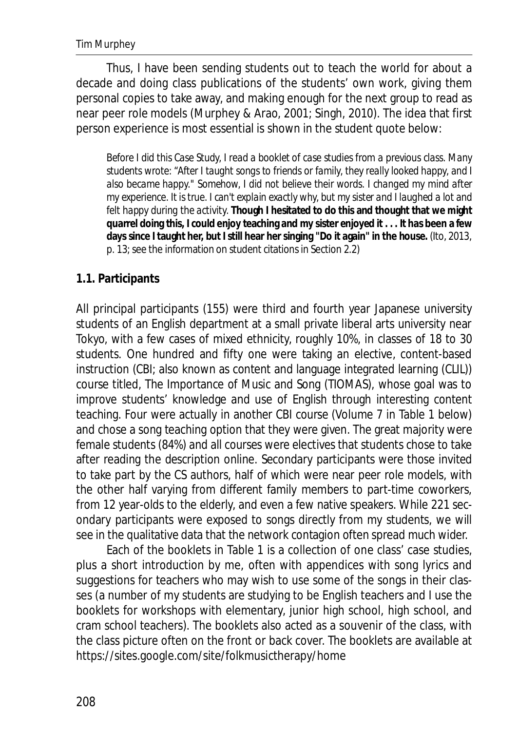Thus, I have been sending students out to teach the world for about a decade and doing class publications of the students' own work, giving them personal copies to take away, and making enough for the next group to read as near peer role models (Murphey & Arao, 2001; Singh, 2010). The idea that first person experience is most essential is shown in the student quote below:

*Before I did this Case Study, I read a booklet of case studies from a previous class. Many students wrote: "After I taught songs to friends or family, they really looked happy, and I also became happy." Somehow, I did not believe their words. I changed my mind after my experience. It is true. I can't explain exactly why, but my sister and I laughed a lot and felt happy during the activity.* **Though I hesitated to do this and thought that we might quarrel doing this, I could enjoy teaching and my sister enjoyed it . . . It has been a few days since I taught her, but I still hear her singing "Do it again" in the house.** (Ito, 2013, p. 13; see the information on student citations in Section 2.2)

## **1.1. Participants**

All principal participants (155) were third and fourth year Japanese university students of an English department at a small private liberal arts university near Tokyo, with a few cases of mixed ethnicity, roughly 10%, in classes of 18 to 30 students. One hundred and fifty one were taking an elective, content-based instruction (CBI; also known as content and language integrated learning (CLIL)) course titled, The Importance of Music and Song (TIOMAS), whose goal was to improve students' knowledge and use of English through interesting content teaching. Four were actually in another CBI course (Volume 7 in Table 1 below) and chose a song teaching option that they were given. The great majority were female students (84%) and all courses were electives that students chose to take after reading the description online. Secondary participants were those invited to take part by the CS authors, half of which were near peer role models, with the other half varying from different family members to part-time coworkers, from 12 year-olds to the elderly, and even a few native speakers. While 221 secondary participants were exposed to songs directly from my students, we will see in the qualitative data that the network contagion often spread much wider.

Each of the booklets in Table 1 is a collection of one class' case studies, plus a short introduction by me, often with appendices with song lyrics and suggestions for teachers who may wish to use some of the songs in their classes (a number of my students are studying to be English teachers and I use the booklets for workshops with elementary, junior high school, high school, and cram school teachers). The booklets also acted as a souvenir of the class, with the class picture often on the front or back cover. The booklets are available at https://sites.google.com/site/folkmusictherapy/home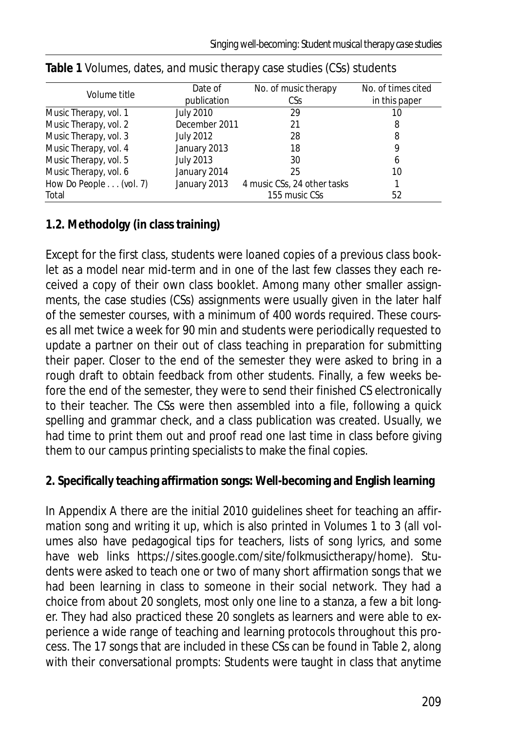| Volume title           | Date of          | No. of music therapy        | No. of times cited |
|------------------------|------------------|-----------------------------|--------------------|
|                        | publication      | CSs                         | in this paper      |
| Music Therapy, vol. 1  | <b>July 2010</b> | 29                          | 10                 |
| Music Therapy, vol. 2  | December 2011    | 21                          | 8                  |
| Music Therapy, vol. 3  | <b>July 2012</b> | 28                          | 8                  |
| Music Therapy, vol. 4  | January 2013     | 18                          | 9                  |
| Music Therapy, vol. 5  | <b>July 2013</b> | 30                          | 6                  |
| Music Therapy, vol. 6  | January 2014     | 25                          | 10                 |
| How Do People (vol. 7) | January 2013     | 4 music CSs, 24 other tasks |                    |
| Total                  |                  | 155 music CSs               | 52                 |

# **1.2. Methodolgy (in class training)**

Except for the first class, students were loaned copies of a previous class booklet as a model near mid-term and in one of the last few classes they each received a copy of their own class booklet. Among many other smaller assignments, the case studies (CSs) assignments were usually given in the later half of the semester courses, with a minimum of 400 words required. These courses all met twice a week for 90 min and students were periodically requested to update a partner on their out of class teaching in preparation for submitting their paper. Closer to the end of the semester they were asked to bring in a rough draft to obtain feedback from other students. Finally, a few weeks before the end of the semester, they were to send their finished CS electronically to their teacher. The CSs were then assembled into a file, following a quick spelling and grammar check, and a class publication was created. Usually, we had time to print them out and proof read one last time in class before giving them to our campus printing specialists to make the final copies.

**2. Specifically teaching affirmation songs: Well-becoming and English learning** 

In Appendix A there are the initial 2010 guidelines sheet for teaching an affirmation song and writing it up, which is also printed in Volumes 1 to 3 (all volumes also have pedagogical tips for teachers, lists of song lyrics, and some have web links https://sites.google.com/site/folkmusictherapy/home). Students were asked to teach one or two of many short affirmation songs that we had been learning in class to someone in their social network. They had a choice from about 20 songlets, most only one line to a stanza, a few a bit longer. They had also practiced these 20 songlets as learners and were able to experience a wide range of teaching and learning protocols throughout this process. The 17 songs that are included in these CSs can be found in Table 2, along with their conversational prompts: Students were taught in class that anytime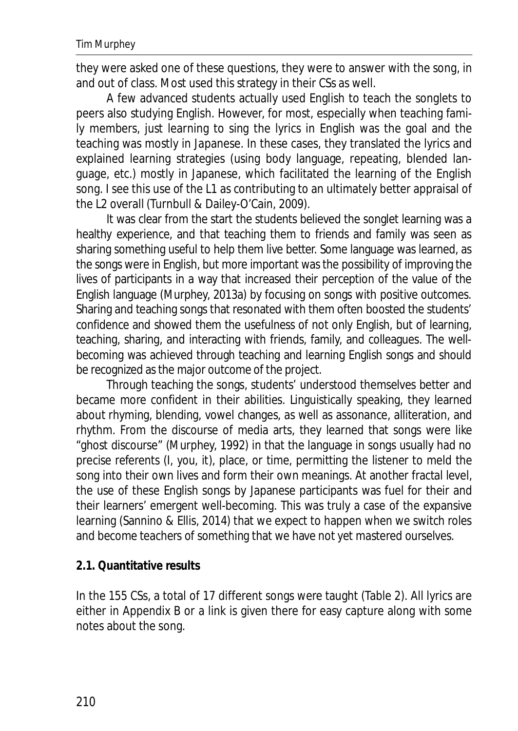they were asked one of these questions, they were to answer with the song, in and out of class. Most used this strategy in their CSs as well.

A few advanced students actually used English to teach the songlets to peers also studying English. However, for most, especially when teaching family members, just learning to sing the lyrics in English was the goal and the teaching was mostly in Japanese. In these cases, they translated the lyrics and explained learning strategies (using body language, repeating, blended language, etc.) mostly in Japanese, which facilitated the learning of the English song. I see this use of the L1 as contributing to an ultimately better appraisal of the L2 overall (Turnbull & Dailey-O'Cain, 2009).

It was clear from the start the students believed the songlet learning was a healthy experience, and that teaching them to friends and family was seen as sharing something useful to help them live better. Some language was learned, as the songs were in English, but more important was the possibility of improving the lives of participants in a way that increased their perception of the value of the English language (Murphey, 2013a) by focusing on songs with positive outcomes. Sharing and teaching songs that resonated with them often boosted the students' confidence and showed them the usefulness of not only English, but of learning, teaching, sharing, and interacting with friends, family, and colleagues. The wellbecoming was achieved through teaching and learning English songs and should be recognized as the major outcome of the project.

Through teaching the songs, students' understood themselves better and became more confident in their abilities. Linguistically speaking, they learned about rhyming, blending, vowel changes, as well as assonance, alliteration, and rhythm. From the discourse of media arts, they learned that songs were like "ghost discourse" (Murphey, 1992) in that the language in songs usually had no precise referents (*I, you, it*), place, or time, permitting the listener to meld the song into their own lives and form their own meanings. At another fractal level, the use of these English songs by Japanese participants was fuel for their and their learners' emergent well-becoming. This was truly a case of the expansive learning (Sannino & Ellis, 2014) that we expect to happen when we switch roles and become teachers of something that we have not yet mastered ourselves.

## **2.1. Quantitative results**

In the 155 CSs, a total of 17 different songs were taught (Table 2). All lyrics are either in Appendix B or a link is given there for easy capture along with some notes about the song.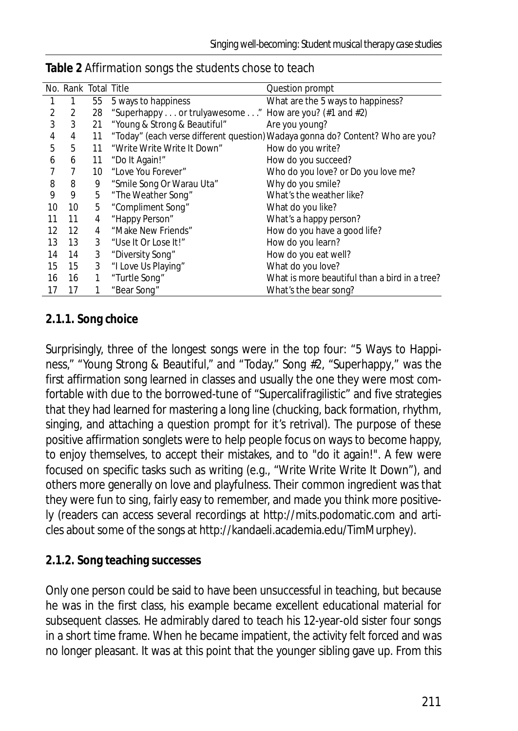|    | No. Rank Total Title |    |                                                       | Question prompt                                                                |
|----|----------------------|----|-------------------------------------------------------|--------------------------------------------------------------------------------|
|    | 1                    | 55 | 5 ways to happiness                                   | What are the 5 ways to happiness?                                              |
| 2  | 2                    | 28 | "Superhappy or trulyawesome" How are you? (#1 and #2) |                                                                                |
| 3  | 3                    | 21 | "Young & Strong & Beautiful"                          | Are you young?                                                                 |
| 4  | 4                    | 11 |                                                       | "Today" (each verse different question) Wadaya gonna do? Content? Who are you? |
| 5  | 5                    | 11 | "Write Write Write It Down"                           | How do you write?                                                              |
| 6  | 6                    | 11 | "Do It Again!"                                        | How do you succeed?                                                            |
| 7  | 7                    | 10 | "Love You Forever"                                    | Who do you love? or Do you love me?                                            |
| 8  | 8                    | 9  | "Smile Song Or Warau Uta"                             | Why do you smile?                                                              |
| 9  | 9                    | 5  | "The Weather Song"                                    | What's the weather like?                                                       |
| 10 | 10                   | 5  | "Compliment Song"                                     | What do you like?                                                              |
| 11 | 11                   | 4  | "Happy Person"                                        | What's a happy person?                                                         |
| 12 | 12                   | 4  | "Make New Friends"                                    | How do you have a good life?                                                   |
| 13 | 13                   | 3  | "Use It Or Lose It!"                                  | How do you learn?                                                              |
| 14 | 14                   | 3  | "Diversity Song"                                      | How do you eat well?                                                           |
| 15 | 15                   | 3  | "I Love Us Playing"                                   | What do you love?                                                              |
| 16 | 16                   | 1  | "Turtle Song"                                         | What is more beautiful than a bird in a tree?                                  |
| 17 | 17                   |    | "Bear Song"                                           | What's the bear song?                                                          |

#### **Table 2** Affirmation songs the students chose to teach

# **2.1.1. Song choice**

Surprisingly, three of the longest songs were in the top four: "5 Ways to Happiness," "Young Strong & Beautiful*,"* and "Today." Song #2, "Superhappy*,*" was the first affirmation song learned in classes and usually the one they were most comfortable with due to the borrowed-tune of "Supercalifragilistic" and five strategies that they had learned for mastering a long line (chucking, back formation, rhythm, singing, and attaching a question prompt for it's retrival). The purpose of these positive affirmation songlets were to help people focus on ways to become happy, to enjoy themselves, to accept their mistakes, and to "do it again!". A few were focused on specific tasks such as writing (e.g., "Write Write Write It Down"), and others more generally on love and playfulness. Their common ingredient was that they were fun to sing, fairly easy to remember, and made you think more positively (readers can access several recordings at http://mits.podomatic.com and articles about some of the songs at http://kandaeli.academia.edu/TimMurphey).

## **2.1.2. Song teaching successes**

Only one person could be said to have been unsuccessful in teaching, but because he was in the first class, his example became excellent educational material for subsequent classes. He admirably dared to teach his 12-year-old sister four songs in a short time frame. When he became impatient, the activity felt forced and was no longer pleasant. It was at this point that the younger sibling gave up. From this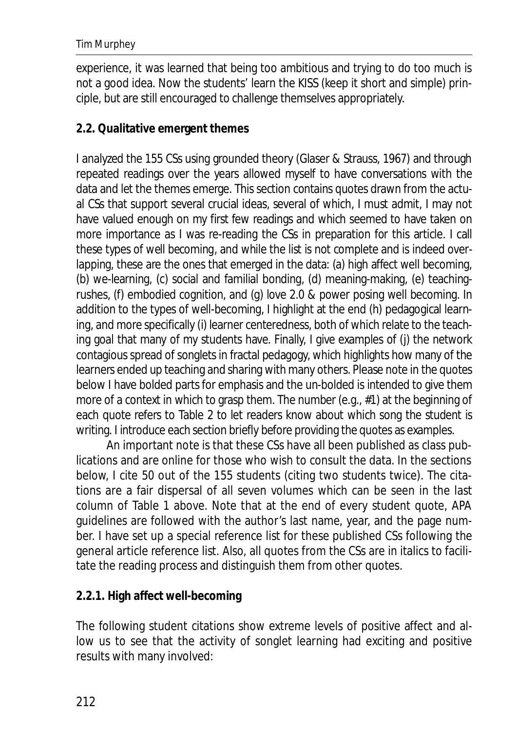experience, it was learned that being too ambitious and trying to do too much is not a good idea. Now the students' learn the KISS (keep it short and simple) principle, but are still encouraged to challenge themselves appropriately.

# **2.2. Qualitative emergent themes**

I analyzed the 155 CSs using grounded theory (Glaser & Strauss, 1967) and through repeated readings over the years allowed myself to have conversations with the data and let the themes emerge. This section contains quotes drawn from the actual CSs that support several crucial ideas, several of which, I must admit, I may not have valued enough on my first few readings and which seemed to have taken on more importance as I was re-reading the CSs in preparation for this article. I call these *types of well becoming*, and while the list is not complete and is indeed overlapping, these are the ones that emerged in the data: (a) high affect well becoming, (b) we-learning, (c) social and familial bonding, (d) meaning-making, (e) teachingrushes, (f) embodied cognition, and (g) love 2.0 & power posing well becoming. In addition to the types of well-becoming, I highlight at the end (h) pedagogical learning, and more specifically (i) learner centeredness, both of which relate to the teaching goal that many of my students have. Finally, I give examples of (j) the network contagious spread of songlets in fractal pedagogy, which highlights how many of the learners ended up teaching and sharing with many others. Please note in the quotes below I have bolded parts for emphasis and the un-bolded is intended to give them more of a context in which to grasp them. The number (e.g., #1) at the beginning of each quote refers to Table 2 to let readers know about which song the student is writing. I introduce each section briefly before providing the quotes as examples.

An important note is that these CSs have all been published as class publications and are online for those who wish to consult the data. In the sections below, I cite 50 out of the 155 students (citing two students twice). The citations are a fair dispersal of all seven volumes which can be seen in the last column of Table 1 above. Note that at the end of every student quote, APA guidelines are followed with the author's last name, year, and the page number. I have set up a special reference list for these published CSs following the general article reference list. Also, all quotes from the CSs are in italics to facilitate the reading process and distinguish them from other quotes.

## **2.2.1. High affect well-becoming**

The following student citations show extreme levels of positive affect and allow us to see that the activity of songlet learning had exciting and positive results with many involved: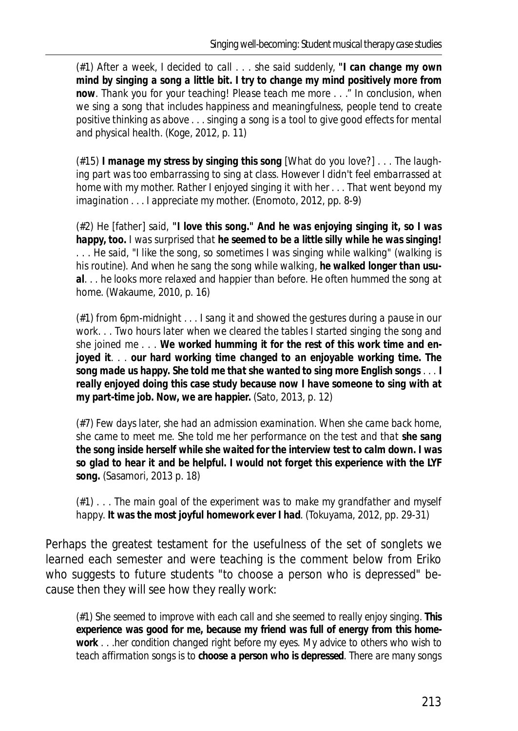(#1) *After a week, I decided to call . . . she said suddenly, "I can change my own mind by singing a song a little bit. I try to change my mind positively more from now. Thank you for your teaching! Please teach me more . . ." In conclusion, when we sing a song that includes happiness and meaningfulness, people tend to create positive thinking as above . . . singing a song is a tool to give good effects for mental and physical health.* (Koge, 2012, p. 11)

(#15) *I manage my stress by singing this song* [What do you love?] *. . . The laughing part was too embarrassing to sing at class. However I didn't feel embarrassed at home with my mother. Rather I enjoyed singing it with her . . . That went beyond my imagination . . . I appreciate my mother.* (Enomoto, 2012, pp. 8-9)

(#2) *He* [father] *said, "I love this song." And he was enjoying singing it, so I was happy, too. I was surprised that he seemed to be a little silly while he was singing! . . . He said, "I like the song, so sometimes I was singing while walking" (walking is his routine). And when he sang the song while walking, he walked longer than usual. . . he looks more relaxed and happier than before. He often hummed the song at home*. (Wakaume, 2010, p. 16)

(#1) *from 6pm-midnight . . . I sang it and showed the gestures during a pause in our work. . . Two hours later when we cleared the tables I started singing the song and she joined me . . . We worked humming it for the rest of this work time and enjoyed it. . . our hard working time changed to an enjoyable working time. The song made us happy. She told me that she wanted to sing more English songs . . . I really enjoyed doing this case study because now I have someone to sing with at my part-time job. Now, we are happier.* (Sato, 2013, p. 12)

(#7) *Few days later, she had an admission examination. When she came back home, she came to meet me. She told me her performance on the test and that she sang the song inside herself while she waited for the interview test to calm down. I was so glad to hear it and be helpful. I would not forget this experience with the LYF song.* (Sasamori, 2013 p. 18)

(#1) *. . . The main goal of the experiment was to make my grandfather and myself happy. It was the most joyful homework ever I had.* (Tokuyama, 2012, pp. 29-31)

Perhaps the greatest testament for the usefulness of the set of songlets we learned each semester and were teaching is the comment below from Eriko who suggests to future students "*to choose a person who is depressed*" because then they will see how they really work:

(#1) *She seemed to improve with each call and she seemed to really enjoy singing. This experience was good for me, because my friend was full of energy from this homework . . .her condition changed right before my eyes. My advice to others who wish to teach affirmation songs is to choose a person who is depressed. There are many songs*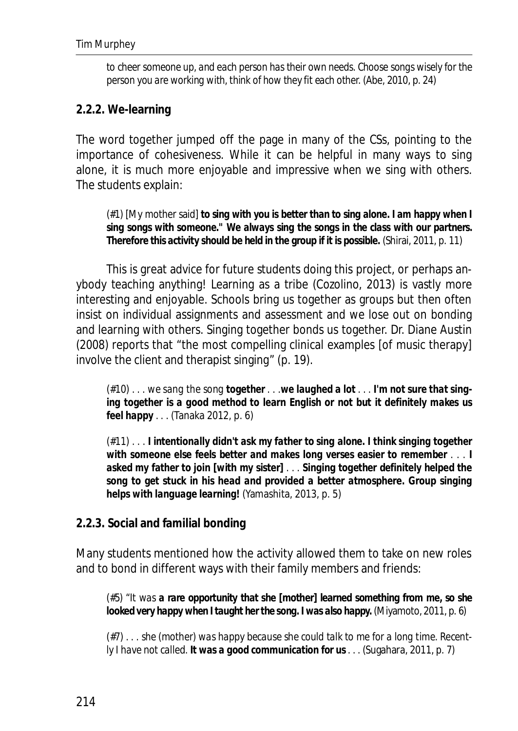*to cheer someone up, and each person has their own needs. Choose songs wisely for the person you are working with, think of how they fit each other.* (Abe, 2010, p. 24)

#### **2.2.2. We-learning**

The word *together* jumped off the page in many of the CSs, pointing to the importance of cohesiveness. While it can be helpful in many ways to sing alone, it is much more enjoyable and impressive when we sing with others. The students explain:

(#1) [My mother said] *to sing with you is better than to sing alone. I am happy when I sing songs with someone." We always sing the songs in the class with our partners. Therefore this activity should be held in the group if it is possible.* (Shirai, 2011, p. 11)

This is great advice for future students doing this project, or perhaps anybody teaching anything! Learning as a tribe (Cozolino, 2013) is vastly more interesting and enjoyable. Schools bring us together as groups but then often insist on individual assignments and assessment and we lose out on bonding and learning with others. Singing together bonds us together. Dr. Diane Austin (2008) reports that "the most compelling clinical examples [of music therapy] involve the client and therapist singing" (p. 19).

(#10) *. . . we sang the song together . . .we laughed a lot . . . I'm not sure that singing together is a good method to learn English or not but it definitely makes us feel happy . . .* (Tanaka 2012, p. 6)

(#11) *. . . I intentionally didn't ask my father to sing alone. I think singing together with someone else feels better and makes long verses easier to remember . . . I asked my father to join* **[with my sister]** *. . . Singing together definitely helped the song to get stuck in his head and provided a better atmosphere. Group singing helps with language learning!* (Yamashita, 2013, p. 5)

## **2.2.3. Social and familial bonding**

Many students mentioned how the activity allowed them to take on new roles and to bond in different ways with their family members and friends:

(#5) *"It was a rare opportunity that she* **[mother]** *learned something from me, so she looked very happy when I taught her the song. I was also happy.* (Miyamoto, 2011, p. 6)

(#7) *. . . she (mother) was happy because she could talk to me for a long time. Recently I have not called. It was a good communication for us . . .* (Sugahara, 2011, p. 7)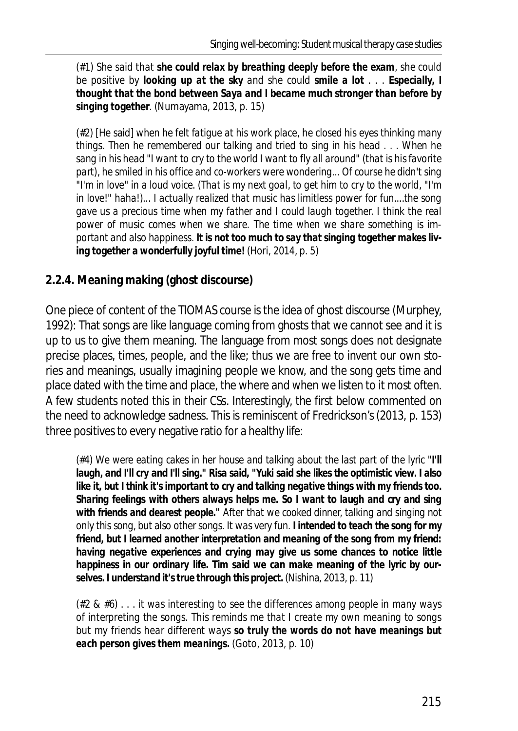(#1) *She said that she could relax by breathing deeply before the exam, she could be positive by looking up at the sky and she could smile a lot . . . Especially, I thought that the bond between Saya and I became much stronger than before by singing together.* (Numayama, 2013, p. 15)

(#2) [He said] *when he felt fatigue at his work place, he closed his eyes thinking many things. Then he remembered our talking and tried to sing in his head . . . When he sang in his head "I want to cry to the world I want to fly all around" (that is his favorite part), he smiled in his office and co-workers were wondering... Of course he didn't sing "I'm in love" in a loud voice. (That is my next goal, to get him to cry to the world, "I'm in love!" haha!)... I actually realized that music has limitless power for fun....the song gave us a precious time when my father and I could laugh together. I think the real power of music comes when we share. The time when we share something is important and also happiness. It is not too much to say that singing together makes living together a wonderfully joyful time!* (Hori, 2014, p. 5)

# **2.2.4. Meaning making (ghost discourse)**

One piece of content of the TIOMAS course is the idea of ghost discourse (Murphey, 1992): That songs are like language coming from ghosts that we cannot see and it is up to us to give them meaning. The language from most songs does not designate precise places, times, people, and the like; thus we are free to invent our own stories and meanings, usually imagining people we know, and the song gets time and place dated with the time and place, the where and when we listen to it most often. A few students noted this in their CSs. Interestingly, the first below commented on the need to acknowledge sadness. This is reminiscent of Fredrickson's (2013, p. 153) three positives to every negative ratio for a healthy life:

(#4) *We were eating cakes in her house and talking about the last part of the lyric "I'll laugh, and I'll cry and I'll sing." Risa said, "Yuki said she likes the optimistic view. I also like it, but I think it's important to cry and talking negative things with my friends too. Sharing feelings with others always helps me. So I want to laugh and cry and sing with friends and dearest people." After that we cooked dinner, talking and singing not only this song, but also other songs. It was very fun. I intended to teach the song for my friend, but I learned another interpretation and meaning of the song from my friend: having negative experiences and crying may give us some chances to notice little happiness in our ordinary life. Tim said we can make meaning of the lyric by ourselves. I understand it's true through this project.* (Nishina, 2013, p. 11)

(#2 & #6) *. . . it was interesting to see the differences among people in many ways of interpreting the songs. This reminds me that I create my own meaning to songs but my friends hear different ways so truly the words do not have meanings but each person gives them meanings.* (Goto, 2013, p. 10)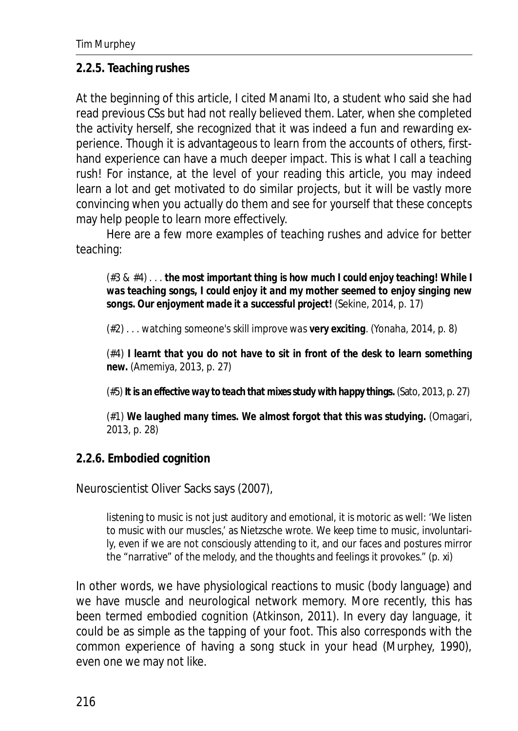**2.2.5. Teaching rushes** 

At the beginning of this article, I cited Manami Ito, a student who said she had read previous CSs but had not really believed them. Later, when she completed the activity herself, she recognized that it was indeed a fun and rewarding experience. Though it is advantageous to learn from the accounts of others, firsthand experience can have a much deeper impact. This is what I call a *teaching rush*! For instance, at the level of your reading this article, you may indeed learn a lot and get motivated to do similar projects, but it will be vastly more convincing when you actually do them and see for yourself that these concepts may help people to learn more effectively.

Here are a few more examples of teaching rushes and advice for better teaching:

(#3 & #4) . . . *the most important thing is how much I could enjoy teaching! While I was teaching songs, I could enjoy it and my mother seemed to enjoy singing new songs. Our enjoyment made it a successful project!* (Sekine, 2014, p. 17)

(#2) *. . . watching someone's skill improve was very exciting.* (Yonaha, 2014, p. 8)

(#4) *I learnt that you do not have to sit in front of the desk to learn something new.* (Amemiya, 2013, p. 27)

(#5) *It is an effective way to teach that mixes study with happy things.* (Sato, 2013, p. 27)

(#1) *We laughed many times. We almost forgot that this was studying.* (Omagari, 2013, p. 28)

**2.2.6. Embodied cognition** 

Neuroscientist Oliver Sacks says (2007),

listening to music is not just auditory and emotional, it is motoric as well: 'We listen to music with our muscles,' as Nietzsche wrote. We keep time to music, involuntarily, even if we are not consciously attending to it, and our faces and postures mirror the "narrative" of the melody, and the thoughts and feelings it provokes." (p. xi)

In other words, we have physiological reactions to music (body language) and we have muscle and neurological network memory. More recently, this has been termed *embodied cognition* (Atkinson, 2011). In every day language, it could be as simple as the tapping of your foot. This also corresponds with the common experience of having a song stuck in your head (Murphey, 1990), even one we may not like.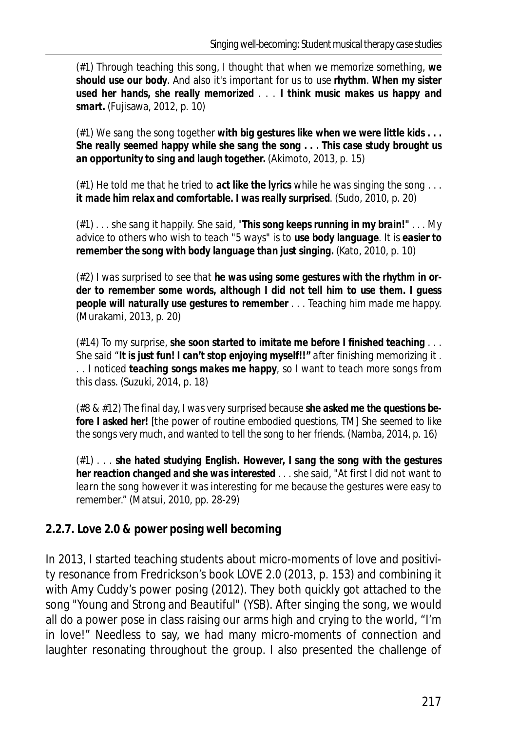(#1) *Through teaching this song, I thought that when we memorize something, we should use our body. And also it's important for us to use rhythm. When my sister used her hands, she really memorized . . . I think music makes us happy and smart.* (Fujisawa, 2012, p. 10)

(#1) *We sang the song together with big gestures like when we were little kids . . . She really seemed happy while she sang the song . . . This case study brought us an opportunity to sing and laugh together.* (Akimoto, 2013, p. 15)

(#1) *He told me that he tried to act like the lyrics while he was singing the song . . . it made him relax and comfortable. I was really surprised.* (Sudo, 2010, p. 20)

(#1) *. . . she sang it happily. She said, "This song keeps running in my brain!" . . . My advice to others who wish to teach "5 ways" is to use body language. It is easier to remember the song with body language than just singing.* (Kato, 2010, p. 10)

(#2) *I was surprised to see that he was using some gestures with the rhythm in order to remember some words, although I did not tell him to use them. I guess people will naturally use gestures to remember . . . Teaching him made me happy.*  (Murakami, 2013, p. 20)

(#14) *To my surprise, she soon started to imitate me before I finished teaching . . . She said "It is just fun! I can't stop enjoying myself!!" after finishing memorizing it . . . I noticed teaching songs makes me happy, so I want to teach more songs from this class.* (Suzuki, 2014, p. 18)

(#8 & #12) *The final day, I was very surprised because she asked me the questions before I asked her!* [the power of routine embodied questions, TM] *She seemed to like the songs very much, and wanted to tell the song to her friends.* (Namba, 2014, p. 16)

(#1) *. . . she hated studying English. However, I sang the song with the gestures her reaction changed and she was interested . . . she said, "At first I did not want to learn the song however it was interesting for me because the gestures were easy to remember."* (Matsui, 2010, pp. 28-29)

# **2.2.7. Love 2.0 & power posing well becoming**

In 2013, I started teaching students about micro-moments of love and positivity resonance from Fredrickson's book *LOVE 2.0* (2013, p. 153) and combining it with Amy Cuddy's power posing (2012). They both quickly got attached to the song "Young and Strong and Beautiful" (YSB). After singing the song, we would all do a power pose in class raising our arms high and crying to the world, "I'm in love!" Needless to say, we had many micro-moments of connection and laughter resonating throughout the group. I also presented the challenge of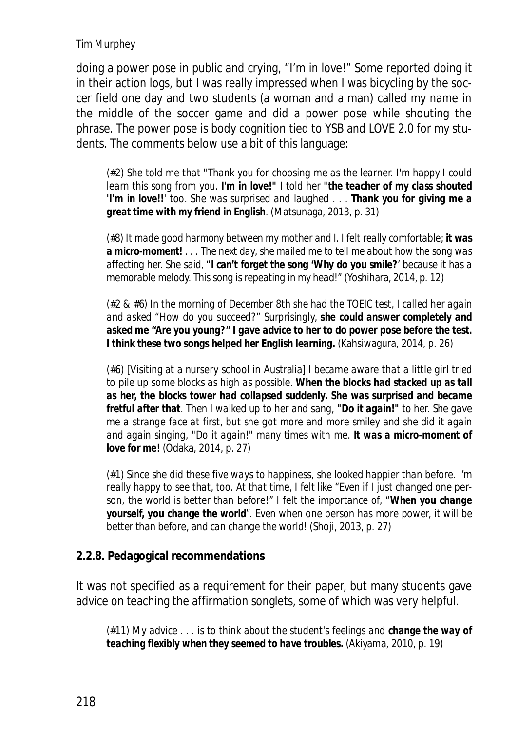doing a power pose in public and crying, "I'm in love!" Some reported doing it in their action logs, but I was really impressed when I was bicycling by the soccer field one day and two students (a woman and a man) called my name in the middle of the soccer game and did a power pose while shouting the phrase. The power pose is body cognition tied to YSB and LOVE 2.0 for my students. The comments below use a bit of this language:

(#2) *She told me that "Thank you for choosing me as the learner. I'm happy I could learn this song from you. I'm in love!" I told her "the teacher of my class shouted 'I'm in love!!' too. She was surprised and laughed . . . Thank you for giving me a great time with my friend in English.* (Matsunaga, 2013, p. 31)

(#8) *It made good harmony between my mother and I. I felt really comfortable; it was a micro-moment! . . . The next day, she mailed me to tell me about how the song was affecting her. She said, "I can't forget the song 'Why do you smile?' because it has a memorable melody. This song is repeating in my head!"* (Yoshihara, 2014, p. 12)

(#2 & #6) *In the morning of December 8th she had the TOEIC test, I called her again and asked "How do you succeed?" Surprisingly, she could answer completely and asked me "Are you young?" I gave advice to her to do power pose before the test. I think these two songs helped her English learning.* (Kahsiwagura, 2014, p. 26)

(#6) [Visiting at a nursery school in Australia] *I became aware that a little girl tried to pile up some blocks as high as possible. When the blocks had stacked up as tall as her, the blocks tower had collapsed suddenly. She was surprised and became fretful after that. Then I walked up to her and sang, "Do it again!" to her. She gave me a strange face at first, but she got more and more smiley and she did it again and again singing, "Do it again!" many times with me. It was a micro-moment of love for me!* (Odaka, 2014, p. 27)

(#1) *Since she did these five ways to happiness, she looked happier than before. I'm really happy to see that, too. At that time, I felt like "Even if I just changed one person, the world is better than before!" I felt the importance of, "When you change yourself, you change the world". Even when one person has more power, it will be better than before, and can change the world!* (Shoji, 2013, p. 27)

## **2.2.8. Pedagogical recommendations**

It was not specified as a requirement for their paper, but many students gave advice on teaching the affirmation songlets, some of which was very helpful.

(#11) *My advice . . . is to think about the student's feelings and change the way of teaching flexibly when they seemed to have troubles.* (Akiyama, 2010, p. 19)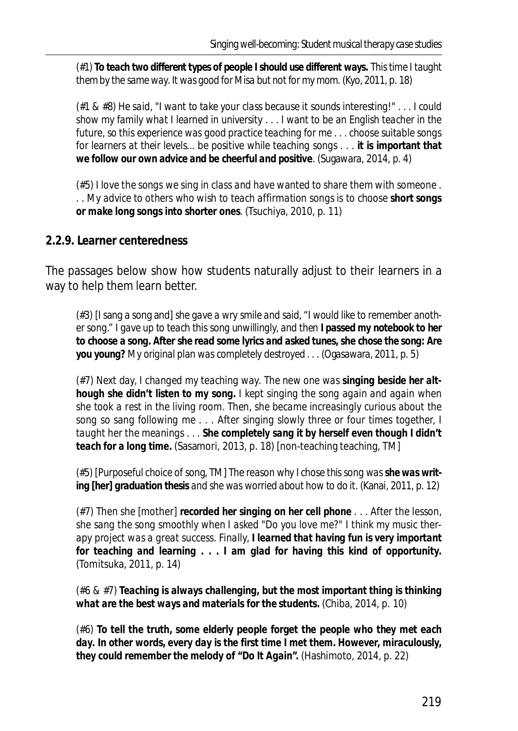(#1) *To teach two different types of people I should use different ways. This time I taught them by the same way. It was good for Misa but not for my mom.* (Kyo, 2011, p. 18)

(#1 & #8) *He said, "I want to take your class because it sounds interesting!" . . . I could show my family what I learned in university . . . I want to be an English teacher in the future, so this experience was good practice teaching for me . . . choose suitable songs for learners at their levels... be positive while teaching songs . . . it is important that we follow our own advice and be cheerful and positive.* (Sugawara, 2014, p. 4)

(#5) *I love the songs we sing in class and have wanted to share them with someone . . . My advice to others who wish to teach affirmation songs is to choose short songs or make long songs into shorter ones.* (Tsuchiya, 2010, p. 11)

#### **2.2.9. Learner centeredness**

The passages below show how students naturally adjust to their learners in a way to help them learn better.

(#3) [I sang a song and] *she gave a wry smile and said, "I would like to remember another song." I gave up to teach this song unwillingly, and then I passed my notebook to her to choose a song. After she read some lyrics and asked tunes, she chose the song: Are you young? My original plan was completely destroyed* . . . (Ogasawara, 2011, p. 5)

(#7) *Next day, I changed my teaching way. The new one was singing beside her although she didn't listen to my song. I kept singing the song again and again when she took a rest in the living room. Then, she became increasingly curious about the song so sang following me . . . After singing slowly three or four times together, I taught her the meanings . . . She completely sang it by herself even though I didn't teach for a long time.* (Sasamori, 2013, p. 18) [non-teaching teaching, TM]

(#5) [Purposeful choice of song, TM] *The reason why I chose this song was she was writing [her] graduation thesis and she was worried about how to do it.* (Kanai, 2011, p. 12)

(#7) *Then she* [mother] *recorded her singing on her cell phone . . . After the lesson, she sang the song smoothly when I asked "Do you love me?" I think my music therapy project was a great success. Finally, I learned that having fun is very important for teaching and learning . . . I am glad for having this kind of opportunity.*  (Tomitsuka, 2011, p. 14)

(#6 & #7) *Teaching is always challenging, but the most important thing is thinking what are the best ways and materials for the students.* (Chiba, 2014, p. 10)

(#6) *To tell the truth, some elderly people forget the people who they met each day. In other words, every day is the first time I met them. However, miraculously, they could remember the melody of "Do It Again".* (Hashimoto, 2014, p. 22)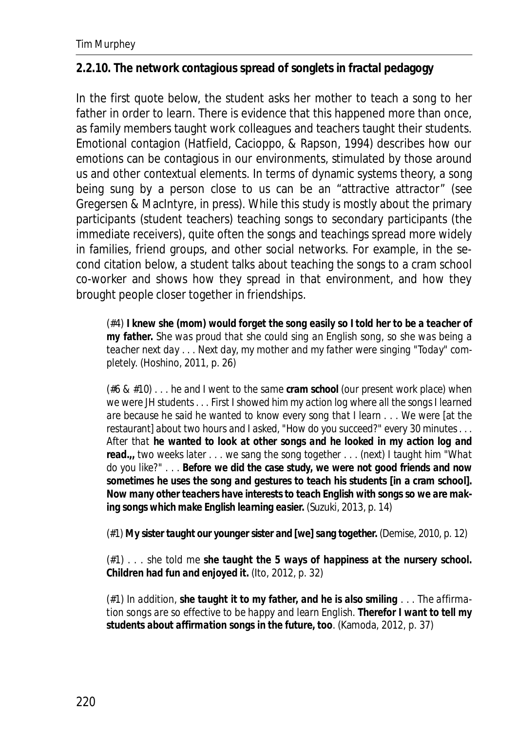#### **2.2.10. The network contagious spread of songlets in fractal pedagogy**

In the first quote below, the student asks her mother to teach a song to her father in order to learn. There is evidence that this happened more than once, as family members taught work colleagues and teachers taught their students. Emotional contagion (Hatfield, Cacioppo, & Rapson, 1994) describes how our emotions can be contagious in our environments, stimulated by those around us and other contextual elements. In terms of dynamic systems theory, a song being sung by a person close to us can be an "attractive attractor" (see Gregersen & MacIntyre, in press). While this study is mostly about the primary participants (student teachers) teaching songs to secondary participants (the immediate receivers), quite often the songs and teachings spread more widely in families, friend groups, and other social networks. For example, in the second citation below, a student talks about teaching the songs to a cram school co-worker and shows how they spread in that environment, and how they brought people closer together in friendships.

(#4) *I knew she (mom) would forget the song easily so I told her to be a teacher of my father. She was proud that she could sing an English song, so she was being a teacher next day . . . Next day, my mother and my father were singing "Today" completely.* (Hoshino, 2011, p. 26)

(#6 & #10) *. . . he and I went to the same cram school (our present work place) when we were JH students . . . First I showed him my action log where all the songs I learned are because he said he wanted to know every song that I learn . . . We were* [at the restaurant] *about two hours and I asked, "How do you succeed?" every 30 minutes . . . After that he wanted to look at other songs and he looked in my action log and read.,, two weeks later . . . we sang the song together . . . (next) I taught him "What do you like?" . . . Before we did the case study, we were not good friends and now sometimes he uses the song and gestures to teach his students* **[in a cram school]***. Now many other teachers have interests to teach English with songs so we are making songs which make English learning easier.* (Suzuki, 2013, p. 14)

(#1) *My sister taught our younger sister and* **[we]** *sang together.* (Demise, 2010, p. 12)

(#1) *. . . she told me she taught the 5 ways of happiness at the nursery school. Children had fun and enjoyed it.* (Ito, 2012, p. 32)

(#1) *In addition, she taught it to my father, and he is also smiling . . . The affirmation songs are so effective to be happy and learn English. Therefor I want to tell my students about affirmation songs in the future, too.* (Kamoda, 2012, p. 37)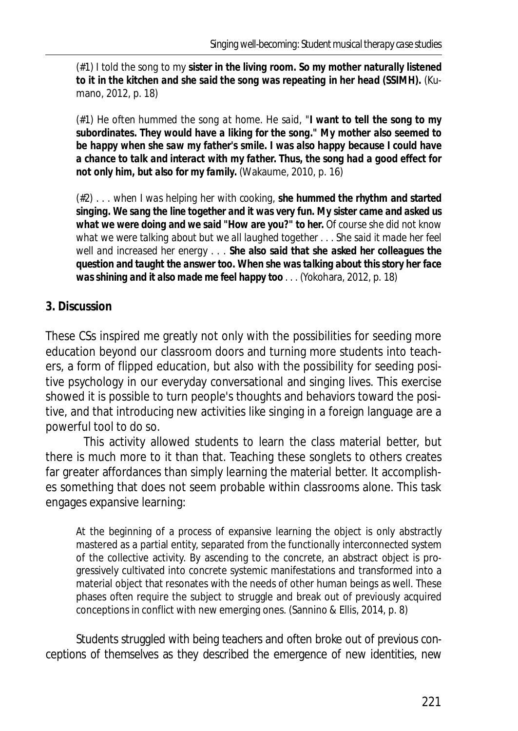(#1) *I told the song to my sister in the living room. So my mother naturally listened to it in the kitchen and she said the song was repeating in her head (SSIMH).* (Kumano, 2012, p. 18)

(#1) *He often hummed the song at home. He said, "I want to tell the song to my subordinates. They would have a liking for the song." My mother also seemed to be happy when she saw my father's smile. I was also happy because I could have a chance to talk and interact with my father. Thus, the song had a good effect for not only him, but also for my family.* (Wakaume, 2010, p. 16)

(#2) *. . . when I was helping her with cooking, she hummed the rhythm and started singing. We sang the line together and it was very fun. My sister came and asked us what we were doing and we said "How are you?" to her. Of course she did not know what we were talking about but we all laughed together . . . She said it made her feel well and increased her energy . . . She also said that she asked her colleagues the question and taught the answer too. When she was talking about this story her face was shining and it also made me feel happy too . . .* (Yokohara, 2012, p. 18)

## **3. Discussion**

These CSs inspired me greatly not only with the possibilities for seeding more education beyond our classroom doors and turning more students into teachers, a form of flipped education, but also with the possibility for seeding positive psychology in our everyday conversational and singing lives. This exercise showed it is possible to turn people's thoughts and behaviors toward the positive, and that introducing new activities like singing in a foreign language are a powerful tool to do so.

This activity allowed students to learn the class material better, but there is much more to it than that. Teaching these songlets to others creates far greater affordances than simply learning the material better. It accomplishes something that does not seem probable within classrooms alone. This task engages expansive learning:

At the beginning of a process of expansive learning the object is only abstractly mastered as a partial entity, separated from the functionally interconnected system of the collective activity. By ascending to the concrete, an abstract object is progressively cultivated into concrete systemic manifestations and transformed into a material object that resonates with the needs of other human beings as well. These phases often require the subject to struggle and break out of previously acquired conceptions in conflict with new emerging ones. (Sannino & Ellis, 2014, p. 8)

Students struggled with being teachers and often broke out of previous conceptions of themselves as they described the emergence of new identities, new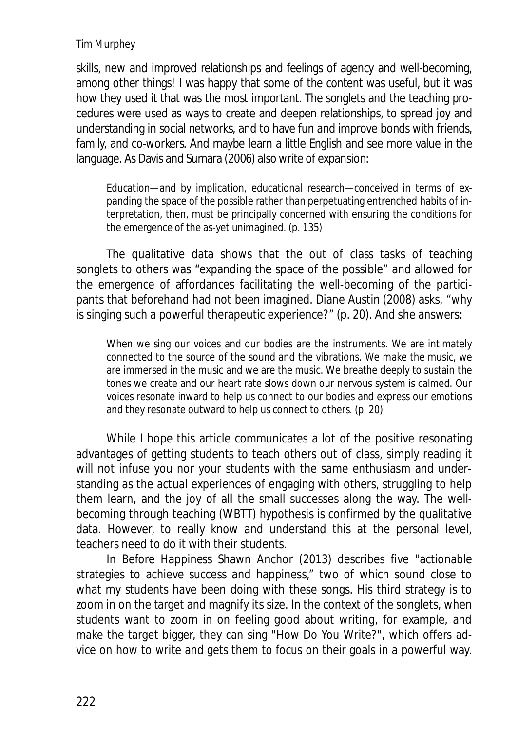skills, new and improved relationships and feelings of agency and well-becoming, among other things! I was happy that some of the content was useful, but it was how they used it that was the most important. The songlets and the teaching procedures were used as ways to create and deepen relationships, to spread joy and understanding in social networks, and to have fun and improve bonds with friends, family, and co-workers. And maybe learn a little English and see more value in the language. As Davis and Sumara (2006) also write of expansion:

Education—and by implication, educational research—conceived in terms of expanding the space of the possible rather than perpetuating entrenched habits of interpretation, then, must be principally concerned with ensuring the conditions for the emergence of the as-yet unimagined. (p. 135)

The qualitative data shows that the out of class tasks of teaching songlets to others was "expanding the space of the possible" and allowed for the emergence of affordances facilitating the well-becoming of the participants that beforehand had not been imagined. Diane Austin (2008) asks, "why is singing such a powerful therapeutic experience?" (p. 20). And she answers:

When we sing our voices and our bodies are the instruments. We are intimately connected to the source of the sound and the vibrations. We make the music, we are immersed in the music and we are the music. We breathe deeply to sustain the tones we create and our heart rate slows down our nervous system is calmed. Our voices resonate inward to help us connect to our bodies and express our emotions and they resonate outward to help us connect to others. (p. 20)

While I hope this article communicates a lot of the positive resonating advantages of getting students to teach others out of class, simply reading it will not infuse you nor your students with the same enthusiasm and understanding as the actual experiences of engaging with others, struggling to help them learn, and the joy of all the small successes along the way. The wellbecoming through teaching (WBTT) hypothesis is confirmed by the qualitative data. However, to really know and understand this at the personal level, teachers need to do it with their students.

In *Before Happiness* Shawn Anchor (2013) describes five "actionable strategies to achieve success and happiness," two of which sound close to what my students have been doing with these songs. His third strategy is to zoom in on the target and magnify its size. In the context of the songlets, when students want to zoom in on feeling good about writing, for example, and make the target bigger, they can sing "How Do You Write?", which offers advice on how to write and gets them to focus on their goals in a powerful way.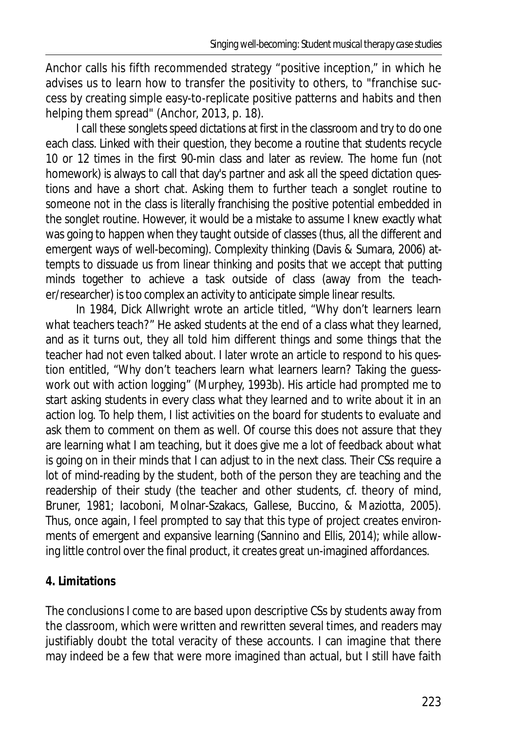Anchor calls his fifth recommended strategy "positive inception," in which he advises us to learn how to transfer the positivity to others, to "franchise success by creating simple easy-to-replicate positive patterns and habits and then helping them spread" (Anchor, 2013, p. 18).

I call these songlets *speed dictations* at first in the classroom and try to do one each class. Linked with their question, they become a routine that students recycle 10 or 12 times in the first 90-min class and later as review. The *home fun* (not homework) is always to call that day's partner and ask all the speed dictation questions and have a short chat. Asking them to further teach a songlet routine to someone not in the class is literally franchising the positive potential embedded in the songlet routine. However, it would be a mistake to assume I knew exactly what was going to happen when they taught outside of classes (thus, all the different and emergent ways of well-becoming). Complexity thinking (Davis & Sumara, 2006) attempts to dissuade us from linear thinking and posits that we accept that putting minds together to achieve a task outside of class (away from the teacher/researcher) is too complex an activity to anticipate simple linear results.

In 1984, Dick Allwright wrote an article titled, "Why don't learners learn what teachers teach?" He asked students at the end of a class what they learned, and as it turns out, they all told him different things and some things that the teacher had not even talked about. I later wrote an article to respond to his question entitled, "Why don't teachers learn what learners learn? Taking the guesswork out with action logging" (Murphey, 1993b). His article had prompted me to start asking students in every class what they learned and to write about it in an action log. To help them, I list activities on the board for students to evaluate and ask them to comment on them as well. Of course this does not assure that they are learning what I am teaching, but it does give me a lot of feedback about what is going on in their minds that I can adjust to in the next class. Their CSs require a lot of mind-reading by the student, both of the person they are teaching and the readership of their study (the teacher and other students, cf. theory of mind, Bruner, 1981; Iacoboni, Molnar-Szakacs, Gallese, Buccino, & Maziotta, 2005). Thus, once again, I feel prompted to say that this type of project creates environments of emergent and expansive learning (Sannino and Ellis, 2014); while allowing little control over the final product, it creates great un-imagined affordances.

## **4. Limitations**

The conclusions I come to are based upon descriptive CSs by students away from the classroom, which were written and rewritten several times, and readers may justifiably doubt the total veracity of these accounts. I can imagine that there may indeed be a few that were more imagined than actual, but I still have faith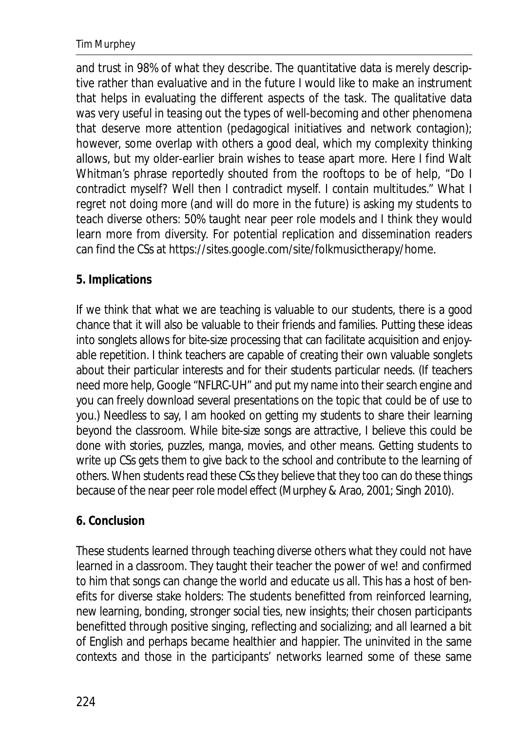#### Tim Murphey

and trust in 98% of what they describe. The quantitative data is merely descriptive rather than evaluative and in the future I would like to make an instrument that helps in evaluating the different aspects of the task. The qualitative data was very useful in teasing out the types of well-becoming and other phenomena that deserve more attention (pedagogical initiatives and network contagion); however, some overlap with others a good deal, which my complexity thinking allows, but my older-earlier brain wishes to tease apart more. Here I find Walt Whitman's phrase reportedly shouted from the rooftops to be of help, "Do I contradict myself? Well then I contradict myself. I contain multitudes." What I regret not doing more (and will do more in the future) is asking my students to teach diverse others: 50% taught near peer role models and I think they would learn more from diversity. For potential replication and dissemination readers can find the CSs at https://sites.google.com/site/folkmusictherapy/home.

## **5. Implications**

If we think that what we are teaching is valuable to our students, there is a good chance that it will also be valuable to their friends and families. Putting these ideas into songlets allows for bite-size processing that can facilitate acquisition and enjoyable repetition. I think teachers are capable of creating their own valuable songlets about their particular interests and for their students particular needs. (If teachers need more help, Google "NFLRC-UH" and put my name into their search engine and you can freely download several presentations on the topic that could be of use to you.) Needless to say, I am hooked on getting my students to share their learning beyond the classroom. While bite-size songs are attractive, I believe this could be done with stories, puzzles, manga, movies, and other means. Getting students to write up CSs gets them to give back to the school and contribute to the learning of others. When students read these CSs they believe that they too can do these things because of the near peer role model effect (Murphey & Arao, 2001; Singh 2010).

## **6. Conclusion**

These students learned through teaching diverse others what they could not have learned in a classroom. They taught their teacher the power of *we!* and confirmed to him that songs can change the world and educate us all. This has a host of benefits for diverse stake holders: The students benefitted from reinforced learning, new learning, bonding, stronger social ties, new insights; their chosen participants benefitted through positive singing, reflecting and socializing; and all learned a bit of English and perhaps became healthier and happier. The uninvited in the same contexts and those in the participants' networks learned some of these same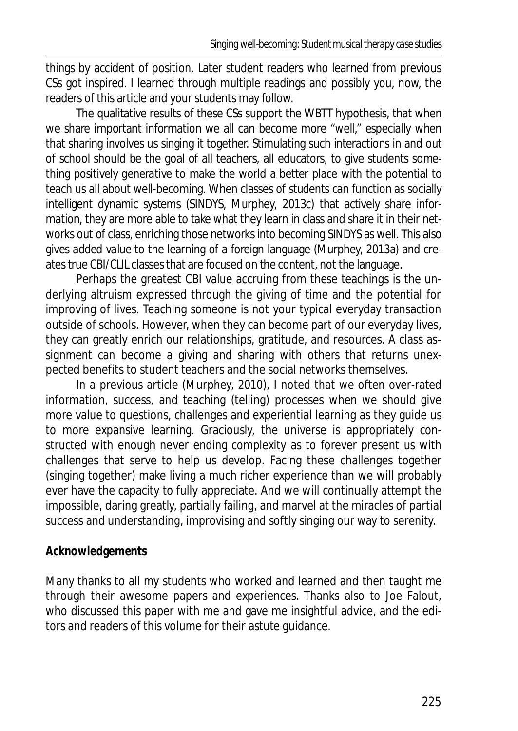things by accident of position. Later student readers who learned from previous CSs got inspired. I learned through multiple readings and possibly you, now, the readers of this article and your students may follow.

The qualitative results of these CSs support the WBTT hypothesis, that when we share important information we all can become more "well," especially when that sharing involves us singing it together. Stimulating such interactions in and out of school should be the goal of all teachers, all educators, to give students something *positively generative* to make the world a better place with the potential to teach us all about well-becoming. When classes of students can function as socially intelligent dynamic systems (SINDYS, Murphey, 2013c) that actively share information, they are more able to take what they learn in class and share it in their networks out of class, enriching those networks into becoming SINDYS as well. This also gives *added value* to the learning of a foreign language (Murphey, 2013a) and creates true CBI/CLIL classes that are focused on the content, not the language.

Perhaps the greatest CBI value accruing from these teachings is the underlying altruism expressed through the giving of time and the potential for improving of lives. Teaching someone is not your typical everyday transaction outside of schools. However, when they can become part of our everyday lives, they can greatly enrich our relationships, gratitude, and resources. A class assignment can become a giving and sharing with others that returns unexpected benefits to student teachers and the social networks themselves.

In a previous article (Murphey, 2010), I noted that we often over-rated information, success, and teaching (telling) processes when we should give more value to questions, challenges and experiential learning as they guide us to more expansive learning. Graciously, the universe is appropriately constructed with enough never ending complexity as to forever present us with challenges that serve to help us develop. Facing these challenges together (singing together) make living a much richer experience than we will probably ever have the capacity to fully appreciate. And we will continually attempt the impossible, daring greatly, partially failing, and marvel at the miracles of partial success and understanding, improvising and softly singing our way to serenity.

## **Acknowledgements**

Many thanks to all my students who worked and learned and then taught me through their awesome papers and experiences. Thanks also to Joe Falout, who discussed this paper with me and gave me insightful advice, and the editors and readers of this volume for their astute guidance.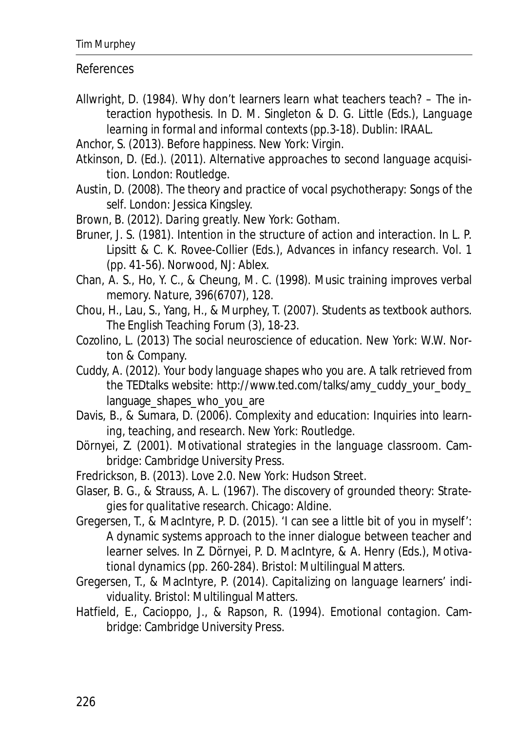#### References

- Allwright, D. (1984). Why don't learners learn what teachers teach? The interaction hypothesis. In D. M. Singleton & D. G. Little (Eds.), *Language learning in formal and informal contexts* (pp.3-18). Dublin: IRAAL.
- Anchor, S. (2013). *Before happiness*. New York: Virgin.
- Atkinson, D. (Ed.). (2011). *Alternative approaches to second language acquisition*. London: Routledge.
- Austin, D. (2008). *The theory and practice of vocal psychotherapy: Songs of the self.* London: Jessica Kingsley.
- Brown, B. (2012). *Daring greatly.* New York: Gotham.
- Bruner, J. S. (1981). Intention in the structure of action and interaction. In L. P. Lipsitt & C. K. Rovee-Collier (Eds.), *Advances in infancy research*. *Vol. 1* (pp. 41-56). Norwood, NJ: Ablex.
- Chan, A. S., Ho, Y. C., & Cheung, M. C. (1998). Music training improves verbal memory. *Nature, 396*(6707), 128.
- Chou, H., Lau, S., Yang, H., & Murphey, T. (2007). Students as textbook authors. *The English Teaching Forum* (3), 18-23*.*
- Cozolino, L. (2013) *The social neuroscience of education.* New York: W.W. Norton & Company.
- Cuddy, A. (2012). *Your body language shapes who you are*. A talk retrieved from the TEDtalks website: http://www.ted.com/talks/amy\_cuddy\_your\_body\_ language\_shapes\_who\_you\_are
- Davis, B., & Sumara, D. (2006). *Complexity and education: Inquiries into learning, teaching, and research.* New York: Routledge.
- Dörnyei, Z. (2001). *Motivational strategies in the language classroom*. Cambridge: Cambridge University Press.
- Fredrickson, B. (2013). *Love 2.0.* New York: Hudson Street.
- Glaser, B. G., & Strauss, A. L. (1967). *The discovery of grounded theory: Strategies for qualitative research*. Chicago: Aldine.
- Gregersen, T., & MacIntyre, P. D. (2015). 'I can see a little bit of you in myself': A dynamic systems approach to the inner dialogue between teacher and learner selves. In Z. Dörnyei, P. D. MacIntyre, & A. Henry (Eds.), *Motivational dynamics* (pp. 260-284)*.* Bristol: Multilingual Matters.
- Gregersen, T., & MacIntyre, P. (2014). *Capitalizing on language learners' individuality.* Bristol: Multilingual Matters.
- Hatfield, E., Cacioppo, J., & Rapson, R. (1994)*. Emotional contagion*. Cambridge: Cambridge University Press.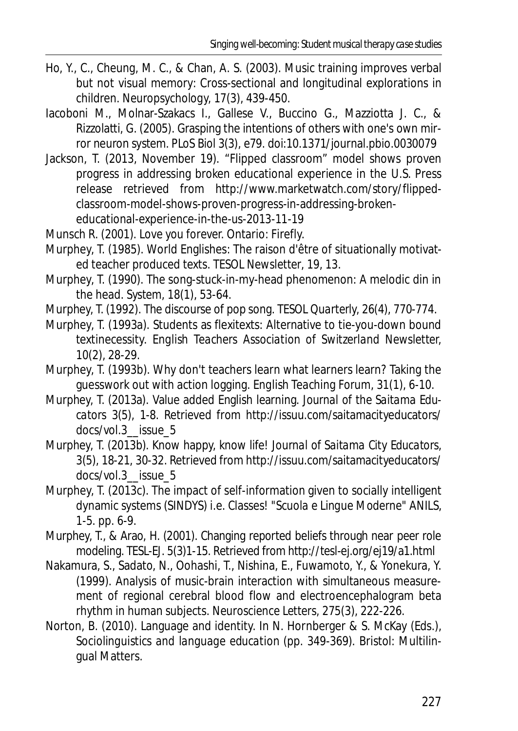- Ho, Y., C., Cheung, M. C., & Chan, A. S. (2003). Music training improves verbal but not visual memory: Cross-sectional and longitudinal explorations in children. *Neuropsychology, 17*(3), 439-450.
- Iacoboni M., Molnar-Szakacs I., Gallese V., Buccino G., Mazziotta J. C., & Rizzolatti, G. (2005). Grasping the intentions of others with one's own mirror neuron system. *PLoS Biol 3*(3), e79. doi:10.1371/journal.pbio.0030079
- Jackson, T. (2013, November 19). "Flipped classroom" model shows proven progress in addressing broken educational experience in the U.S. Press release retrieved from http://www.marketwatch.com/story/flippedclassroom-model-shows-proven-progress-in-addressing-brokeneducational-experience-in-the-us-2013-11-19
- Munsch R. (2001). *Love you forever.* Ontario: Firefly.
- Murphey, T. (1985). World Englishes: The raison d'être of situationally motivated teacher produced texts. *TESOL Newsletter*, *19*, 13.
- Murphey, T. (1990). The song-stuck-in-my-head phenomenon: A melodic din in the head. *System, 18*(1), 53-64.
- Murphey, T. (1992). The discourse of pop song. *TESOL Quarterly, 26*(4), 770-774.
- Murphey, T. (1993a). Students as flexitexts: Alternative to tie-you-down bound textinecessity. *English Teachers Association of Switzerland Newsletter, 10*(2), 28-29.
- Murphey, T. (1993b). Why don't teachers learn what learners learn? Taking the guesswork out with action logging. *English Teaching Forum, 31*(1), 6-10*.*
- Murphey, T. (2013a). Value added English learning. *Journal of the Saitama Educators 3*(5), 1-8. Retrieved from http://issuu.com/saitamacityeducators/ docs/vol.3\_\_issue\_5
- Murphey, T. (2013b). Know happy, know life! *Journal of Saitama City Educators, 3*(5), 18-21, 30-32. Retrieved from http://issuu.com/saitamacityeducators/ docs/vol.3\_\_issue\_5
- Murphey, T. (2013c). The impact of self-information given to socially intelligent dynamic systems (SINDYS) i.e. Classes! *"Scuola e Lingue Moderne" ANILS, 1-5*. pp. 6-9.
- Murphey, T., & Arao, H. (2001). Changing reported beliefs through near peer role modeling. *TESL-EJ*. 5(3)1-15. Retrieved from http://tesl-ej.org/ej19/a1.html
- Nakamura, S., Sadato, N., Oohashi, T., Nishina, E., Fuwamoto, Y., & Yonekura, Y. (1999). Analysis of music-brain interaction with simultaneous measurement of regional cerebral blood flow and electroencephalogram beta rhythm in human subjects. *Neuroscience Letters, 275*(3), 222-226.
- Norton, B. (2010). Language and identity. In N. Hornberger & S. McKay (Eds.), *Sociolinguistics and language education* (pp. 349-369). Bristol: Multilingual Matters.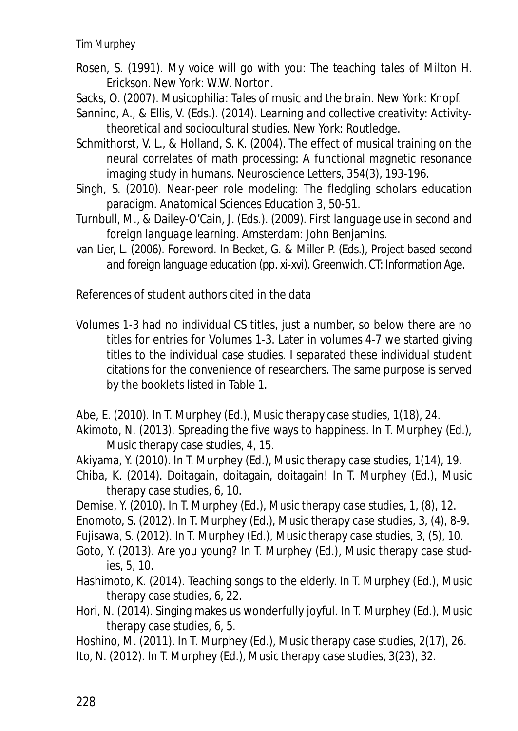- Rosen, S. (1991). *My voice will go with you: The teaching tales of Milton H. Erickson.* New York: W.W. Norton.
- Sacks, O. (2007). *Musicophilia: Tales of music and the brain*. New York: Knopf.
- Sannino, A., & Ellis, V. (Eds.). (2014). *Learning and collective creativity: Activitytheoretical and sociocultural studies*. New York: Routledge.
- Schmithorst, V. L., & Holland, S. K. (2004). The effect of musical training on the neural correlates of math processing: A functional magnetic resonance imaging study in humans. *Neuroscience Letters, 354*(3), 193-196.
- Singh, S. (2010). Near-peer role modeling: The fledgling scholars education paradigm. *Anatomical Sciences Education 3*, 50-51.
- Turnbull, M., & Dailey-O'Cain, J. (Eds.). (2009). *First language use in second and foreign language learning.* Amsterdam: John Benjamins.
- van Lier, L. (2006). Foreword. In Becket, G. & Miller P. (Eds.), *Project-based second and foreign language education* (pp. xi-xvi). Greenwich, CT: Information Age.

References of student authors cited in the data

Volumes 1-3 had no individual CS titles, just a number, so below there are no titles for entries for Volumes 1-3. Later in volumes 4-7 we started giving titles to the individual case studies. I separated these individual student citations for the convenience of researchers. The same purpose is served by the booklets listed in Table 1.

Abe, E. (2010). In T. Murphey (Ed.), *Music therapy case studies, 1*(18), 24.

- Akimoto, N. (2013). Spreading the five ways to happiness. In T. Murphey (Ed.), *Music therapy case studies, 4,* 15.
- Akiyama, Y. (2010). In T. Murphey (Ed.), *Music therapy case studies, 1*(14), 19.
- Chiba, K. (2014). Doitagain, doitagain, doitagain! In T. Murphey (Ed.), *Music therapy case studies,* 6, 10.
- Demise, Y. (2010). In T. Murphey (Ed.), *Music therapy case studies, 1*, (8), 12.
- Enomoto, S. (2012). In T. Murphey (Ed.), *Music therapy case studies, 3*, (4), 8-9.
- Fujisawa, S. (2012). In T. Murphey (Ed.), *Music therapy case studies, 3*, (5), 10.
- Goto, Y. (2013). Are you young? In T. Murphey (Ed.), *Music therapy case studies, 5*, 10.
- Hashimoto, K. (2014). Teaching songs to the elderly. In T. Murphey (Ed.), *Music therapy case studies, 6,* 22.
- Hori, N. (2014). Singing makes us wonderfully joyful. In T. Murphey (Ed.), *Music therapy case studies, 6*, 5.
- Hoshino, M. (2011). In T. Murphey (Ed.), *Music therapy case studies, 2*(17), 26. Ito, N. (2012). In T. Murphey (Ed.), *Music therapy case studies, 3*(23), 32.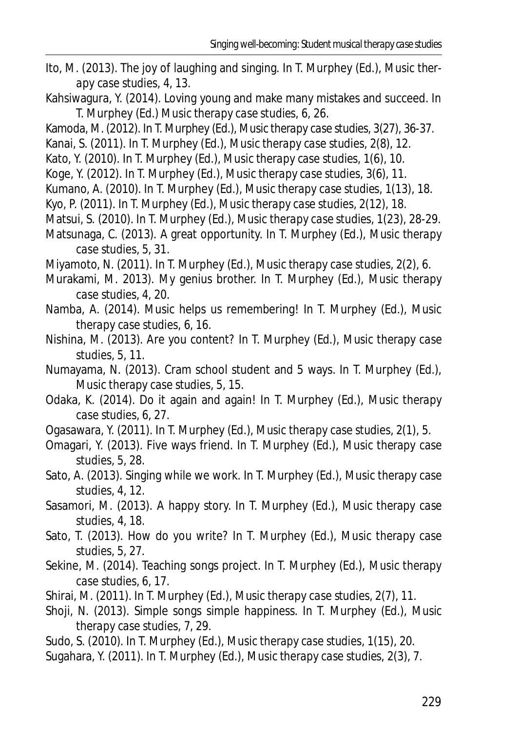- Ito, M. (2013). The joy of laughing and singing. In T. Murphey (Ed.), *Music therapy case studies, 4,* 13.
- Kahsiwagura, Y. (2014). Loving young and make many mistakes and succeed. In T. Murphey (Ed.) *Music therapy case studies, 6,* 26.
- Kamoda, M. (2012). In T. Murphey (Ed.), *Music therapy case studies, 3*(27), 36-37.
- Kanai, S. (2011). In T. Murphey (Ed.), *Music therapy case studies, 2*(8), 12.
- Kato, Y. (2010). In T. Murphey (Ed.), *Music therapy case studies*, *1*(6), 10.
- Koge, Y. (2012). In T. Murphey (Ed.), *Music therapy case studies, 3*(6), 11.
- Kumano, A. (2010). In T. Murphey (Ed.), *Music therapy case studies, 1*(13), 18.
- Kyo, P. (2011). In T. Murphey (Ed.), *Music therapy case studies, 2*(12), 18.
- Matsui, S. (2010). In T. Murphey (Ed.), *Music therapy case studies*, 1(23), 28-29.
- Matsunaga, C. (2013). A great opportunity. In T. Murphey (Ed.), *Music therapy case studies, 5*, 31.
- Miyamoto, N. (2011). In T. Murphey (Ed.), *Music therapy case studies, 2*(2), 6.
- Murakami, M. 2013). My genius brother. In T. Murphey (Ed.), *Music therapy case studies, 4,* 20.
- Namba, A. (2014). Music helps us remembering! In T. Murphey (Ed.), *Music therapy case studies, 6*, 16.
- Nishina, M. (2013). Are you content? In T. Murphey (Ed.), *Music therapy case studies, 5*, 11.
- Numayama, N. (2013). Cram school student and 5 ways. In T. Murphey (Ed.), *Music therapy case studies, 5,* 15.
- Odaka, K. (2014). Do it again and again! In T. Murphey (Ed.), *Music therapy case studies, 6*, 27.
- Ogasawara, Y. (2011). In T. Murphey (Ed.), *Music therapy case studies, 2*(1), 5.
- Omagari, Y. (2013). Five ways friend. In T. Murphey (Ed.), *Music therapy case studies, 5*, 28.
- Sato, A. (2013). Singing while we work. In T. Murphey (Ed.), *Music therapy case studies, 4*, 12.
- Sasamori, M. (2013). A happy story. In T. Murphey (Ed.), *Music therapy case studies, 4*, 18.
- Sato, T. (2013). How do you write? In T. Murphey (Ed.), *Music therapy case studies, 5*, 27.
- Sekine, M. (2014). Teaching songs project. In T. Murphey (Ed.), *Music therapy case studies, 6*, 17.
- Shirai, M. (2011). In T. Murphey (Ed.), *Music therapy case studies, 2*(7), 11.
- Shoji, N. (2013). Simple songs simple happiness. In T. Murphey (Ed.), *Music therapy case studies, 7*, 29.
- Sudo, S. (2010). In T. Murphey (Ed.), *Music therapy case studies, 1*(15), 20.
- Sugahara, Y. (2011). In T. Murphey (Ed.), *Music therapy case studies, 2*(3), 7.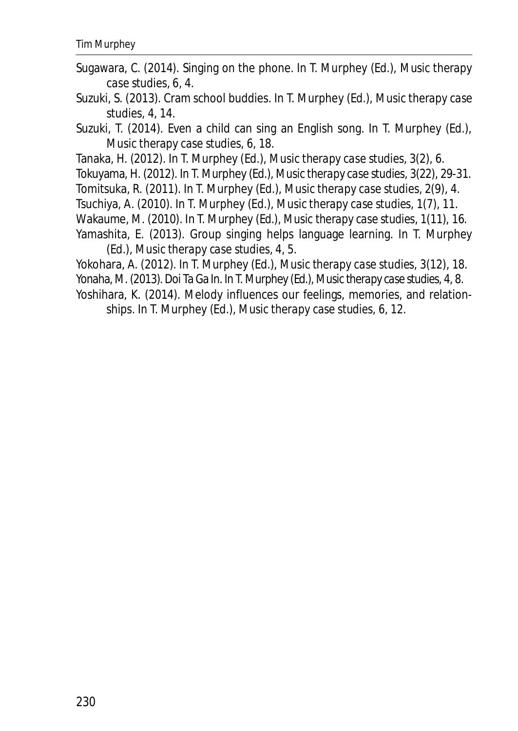- Sugawara, C. (2014). Singing on the phone. In T. Murphey (Ed.), *Music therapy case studies, 6,* 4.
- Suzuki, S. (2013). Cram school buddies. In T. Murphey (Ed.), *Music therapy case studies, 4*, 14.
- Suzuki, T. (2014). Even a child can sing an English song. In T. Murphey (Ed.), *Music therapy case studies*, *6,* 18.
- Tanaka, H. (2012). In T. Murphey (Ed.), *Music therapy case studies*, *3*(2), 6.
- Tokuyama, H. (2012). In T. Murphey (Ed.), *Music therapy case studies, 3*(22), 29-31.
- Tomitsuka, R. (2011). In T. Murphey (Ed.), *Music therapy case studies, 2*(9), 4.
- Tsuchiya, A. (2010). In T. Murphey (Ed.), *Music therapy case studies, 1*(7), 11.
- Wakaume, M. (2010). In T. Murphey (Ed.), *Music therapy case studies, 1*(11), 16.
- Yamashita, E. (2013). Group singing helps language learning. In T. Murphey (Ed.), *Music therapy case studies, 4,* 5.

Yokohara, A. (2012). In T. Murphey (Ed.), *Music therapy case studies*, *3*(12), 18. Yonaha, M. (2013). Doi Ta Ga In. In T. Murphey (Ed.), *Music therapy case studies, 4,* 8. Yoshihara, K. (2014). Melody influences our feelings, memories, and relation-

ships. In T. Murphey (Ed.), *Music therapy case studies, 6,* 12.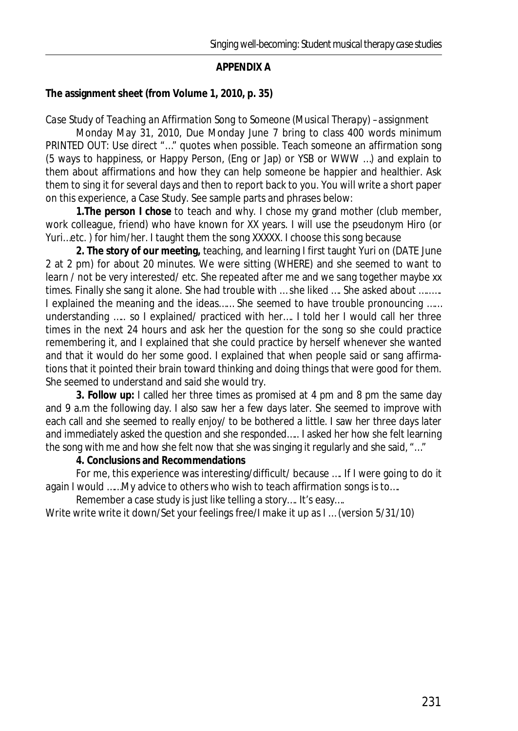#### **APPENDIX A**

**The assignment sheet (from Volume 1, 2010, p. 35)** 

*Case Study of Teaching an Affirmation Song to Someone (Musical Therapy) –assignment* 

Monday May 31, 2010, Due Monday June 7 bring to class 400 words minimum PRINTED OUT: Use direct "…" quotes when possible. Teach someone an affirmation song (5 ways to happiness, or Happy Person, (Eng or Jap) or YSB or WWW …) and explain to them about affirmations and how they can help someone be happier and healthier. Ask them to sing it for several days and then to report back to you. You will write a short paper on this experience, a Case Study. See sample parts and phrases below:

**1.The person I chose** to teach and why. I chose my grand mother (club member, work colleague, friend) who have known for XX years. I will use the pseudonym Hiro (or Yuri...etc. ) for him/her. I taught them the song XXXXX. I choose this song because

**2. The story of our meeting,** teaching, and learning I first taught Yuri on (DATE June 2 at 2 pm) for about 20 minutes. We were sitting (WHERE) and she seemed to want to learn / not be very interested/ etc. She repeated after me and we sang together maybe xx times. Finally she sang it alone. She had trouble with ... she liked .... She asked about ......... I explained the meaning and the ideas…… She seemed to have trouble pronouncing …… understanding ….. so I explained/ practiced with her…. I told her I would call her three times in the next 24 hours and ask her the question for the song so she could practice remembering it, and I explained that she could practice by herself whenever she wanted and that it would do her some good. I explained that when people said or sang affirmations that it pointed their brain toward thinking and doing things that were good for them. She seemed to understand and said she would try.

**3. Follow up:** I called her three times as promised at 4 pm and 8 pm the same day and 9 a.m the following day. I also saw her a few days later. She seemed to improve with each call and she seemed to really enjoy/ to be bothered a little. I saw her three days later and immediately asked the question and she responded….. I asked her how she felt learning the song with me and how she felt now that she was singing it regularly and she said, "…"

**4. Conclusions and Recommendations** 

For me, this experience was interesting/difficult/ because …. If I were going to do it again I would ……My advice to others who wish to teach affirmation songs is to….

Remember a case study is just like telling a story…. It's easy…. Write write write it down/Set your feelings free/I make it up as I … (version 5/31/10)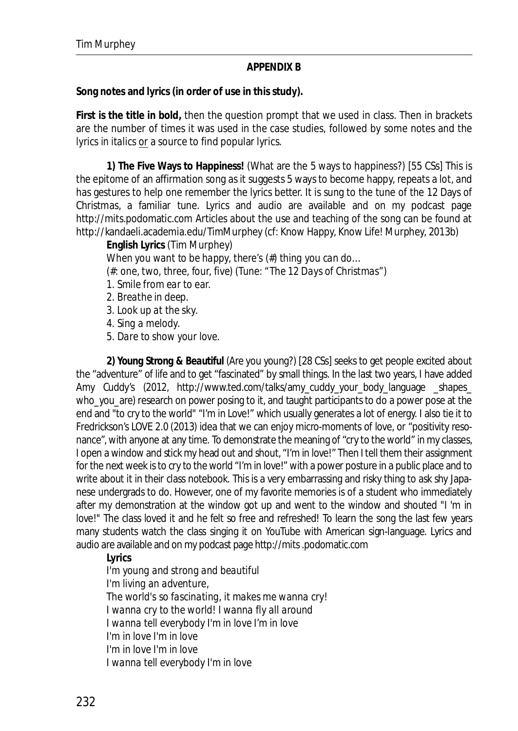#### **APPENDIX B**

**Song notes and lyrics (in order of use in this study).** 

**First is the title in bold,** then the question prompt that we used in class. Then in brackets are the number of times it was used in the case studies, followed by some notes and the *lyrics in italics* or a source to find popular lyrics.

**1) The Five Ways to Happiness!** (What are the 5 ways to happiness?) [55 CSs] This is the epitome of an affirmation song as it suggests 5 ways to become happy, repeats a lot, and has gestures to help one remember the lyrics better. It is sung to the tune of the 12 Days of Christmas, a familiar tune. Lyrics and audio are available and on my podcast page http://mits.podomatic.com Articles about the use and teaching of the song can be found at http://kandaeli.academia.edu/TimMurphey (cf: Know Happy, Know Life! Murphey, 2013b)

**English Lyrics** (Tim Murphey) *When you want to be happy, there's (#) thing you can do… (#: one, two, three, four, five) (Tune: "The 12 Days of Christmas")* 

- *1. Smile from ear to ear.*
- *2. Breathe in deep.*
- *3. Look up at the sky.*
- *4. Sing a melody.*
- *5. Dare to show your love.*

**2)** *Young Strong & Beautiful* (Are you young?) [28 CSs] seeks to get people excited about the "adventure" of life and to get "fascinated" by small things. In the last two years, I have added Amy Cuddy's (2012, http://www.ted.com/talks/amy\_cuddy\_your\_body\_language \_shapes\_ who\_you\_are) research on power posing to it, and taught participants to do a power pose at the end and "to cry to the world" "I'm in Love!" which usually generates a lot of energy. I also tie it to Fredrickson's *LOVE 2.0* (2013) idea that we can enjoy micro-moments of love, or "positivity resonance", with anyone at any time. To demonstrate the meaning of "cry to the world" in my classes, I open a window and stick my head out and shout, "I'm in love!" Then I tell them their assignment for the next week is to cry to the world "I'm in love!" with a power posture in a public place and to write about it in their class notebook. This is a very embarrassing and risky thing to ask shy Japanese undergrads to do. However, one of my favorite memories is of a student who immediately after my demonstration at the window got up and went to the window and shouted "I 'm in love!" The class loved it and he felt so free and refreshed! To learn the song the last few years many students watch the class singing it on YouTube with American sign-language. Lyrics and audio are available and on my podcast page http://mits .podomatic.com

#### **Lyrics**

*I'm young and strong and beautiful I'm living an adventure, The world's so fascinating, it makes me wanna cry! I wanna cry to the world! I wanna fly all around I wanna tell everybody I'm in love I'm in love I'm in love I'm in love I'm in love I'm in love I wanna tell everybody I'm in love*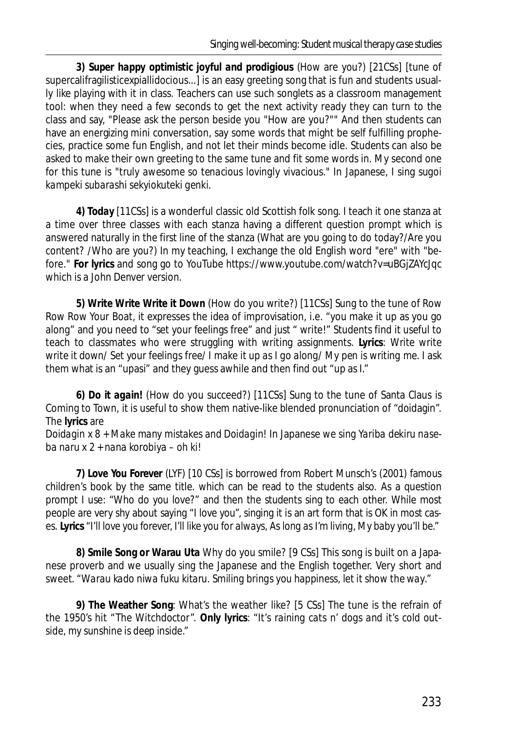**3)** *Super happy optimistic joyful and prodigious* (How are you?) [21CSs] [tune of supercalifragilisticexpiallidocious...] is an easy greeting song that is fun and students usually like playing with it in class. Teachers can use such songlets as a classroom management tool: when they need a few seconds to get the next activity ready they can turn to the class and say, "Please ask the person beside you "How are you?"" And then students can have an energizing mini conversation, say some words that might be self fulfilling prophecies, practice some fun English, and not let their minds become idle. Students can also be asked to make their own greeting to the same tune and fit some words in. My second one for this tune is "*truly awesome so tenacious lovingly vivacious.*" In Japanese, I sing *sugoi kampeki subarashi sekyiokuteki genki*.

**4)** *Today* [11CSs] is a wonderful classic old Scottish folk song. I teach it one stanza at a time over three classes with each stanza having a different question prompt which is answered naturally in the first line of the stanza (What are you going to do today?/Are you content? /Who are you?) In my teaching, I exchange the old English word "ere" with "before." **For lyrics** and song go to YouTube https://www.youtube.com/watch?v=uBGjZAYcJqc which is a John Denver version.

*5) Write Write Write it Down* (How do you write?) [11CSs] Sung to the tune of Row Row Row Your Boat, it expresses the idea of improvisation, i.e. "you make it up as you go along" and you need to "set your feelings free" and just " write!" Students find it useful to teach to classmates who were struggling with writing assignments. **Lyrics**: *Write write write it down/ Set your feelings free/ I make it up as I go along/ My pen is writing me*. I ask them what is an "upasi" and they guess awhile and then find out "up as I."

**6)** *Do it again!* (How do you succeed?) [11CSs] Sung to the tune of Santa Claus is Coming to Town, it is useful to show them native-like blended pronunciation of "doidagin". The **lyrics** are

*Doidagin x 8 + Make many mistakes and Doidagin*! In Japanese we sing *Yariba dekiru naseba naru x 2 + nana korobiya – oh ki*!

**7)** *Love You Forever* (LYF) [10 CSs] is borrowed from Robert Munsch's (2001) famous children's book by the same title. which can be read to the students also. As a question prompt I use: "Who do you love?" and then the students sing to each other. While most people are very shy about saying "I love you", singing it is an art form that is OK in most cases. **Lyrics** "*I'll love you forever, I'll like you for always, As long as I'm living, My baby you'll be*."

**8) Smile Song or Warau Uta** Why do you smile? [9 CSs] This song is built on a Japanese proverb and we usually sing the Japanese and the English together. Very short and sweet. "*Warau kado niwa fuku kitaru. Smiling brings you happiness, let it show the way*."

**9) The Weather Song**: What's the weather like? [5 CSs] The tune is the refrain of the 1950's hit "The Witchdoctor". **Only lyrics**: "*It's raining cats n' dogs and it's cold outside, my sunshine is deep inside."*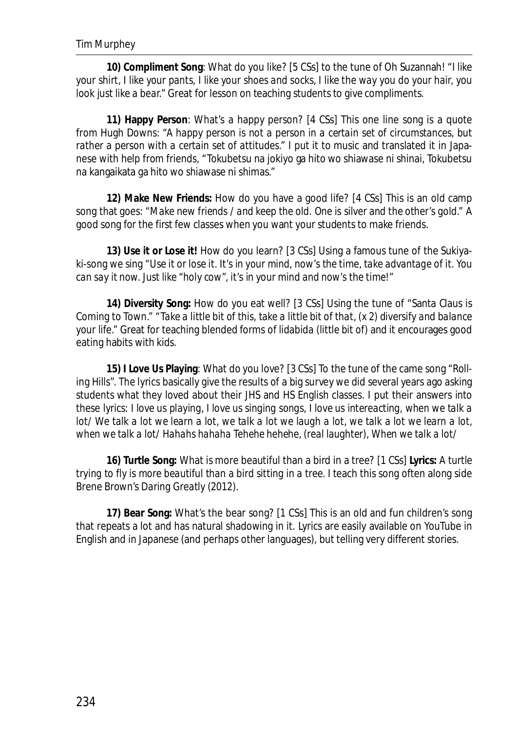**10) Compliment Song**: What do you like? [5 CSs] to the tune of Oh Suzannah! *"I like your shirt, I like your pants, I like your shoes and socks, I like the way you do your hair, you look just like a bear."* Great for lesson on teaching students to give compliments.

**11) Happy Person**: What's a happy person? [4 CSs] This one line song is a quote from Hugh Downs: *"A happy person is not a person in a certain set of circumstances, but rather a person with a certain set of attitudes."* I put it to music and translated it in Japanese with help from friends, "Tokubetsu na jokiyo ga hito wo shiawase ni shinai, Tokubetsu na kangaikata ga hito wo shiawase ni shimas."

**12) Make New Friends:** How do you have a good life? [4 CSs] This is an old camp song that goes: *"Make new friends / and keep the old. One is silver and the other's gold."* A good song for the first few classes when you want your students to make friends.

**13) Use it or Lose it!** How do you learn? [3 CSs] Using a famous tune of the Sukiyaki-song we sing *"Use it or lose it. It's in your mind, now's the time, take advantage of it. You can say it now. Just like "holy cow", it's in your mind and now's the time!"* 

**14) Diversity Song:** How do you eat well? [3 CSs] Using the tune of "Santa Claus is Coming to Town." *"Take a little bit of this, take a little bit of that, (x 2) diversify and balance your life."* Great for teaching blended forms of *lidabida (little bit of)* and it encourages good eating habits with kids.

**15) I Love Us Playing**: What do you love? [3 CSs] To the tune of the came song "Rolling Hills". The lyrics basically give the results of a big survey we did several years ago asking students what they loved about their JHS and HS English classes. I put their answers into these lyrics: *I love us playing, I love us singing songs, I love us intereacting, when we talk a lot/ We talk a lot we learn a lot, we talk a lot we laugh a lot, we talk a lot we learn a lot, when we talk a lot/ Hahahs hahaha Tehehe hehehe, (real laughter), When we talk a lot/*

**16) Turtle Song:** What is more beautiful than a bird in a tree? [1 CSs] **Lyrics:** *A turtle trying to fly is more beautiful than a bird sitting in a tree.* I teach this song often along side Brene Brown's *Daring Greatly* (2012).

**17) Bear Song:** What's the bear song? [1 CSs] This is an old and fun children's song that repeats a lot and has natural shadowing in it. Lyrics are easily available on YouTube in English and in Japanese (and perhaps other languages), but telling very different stories.